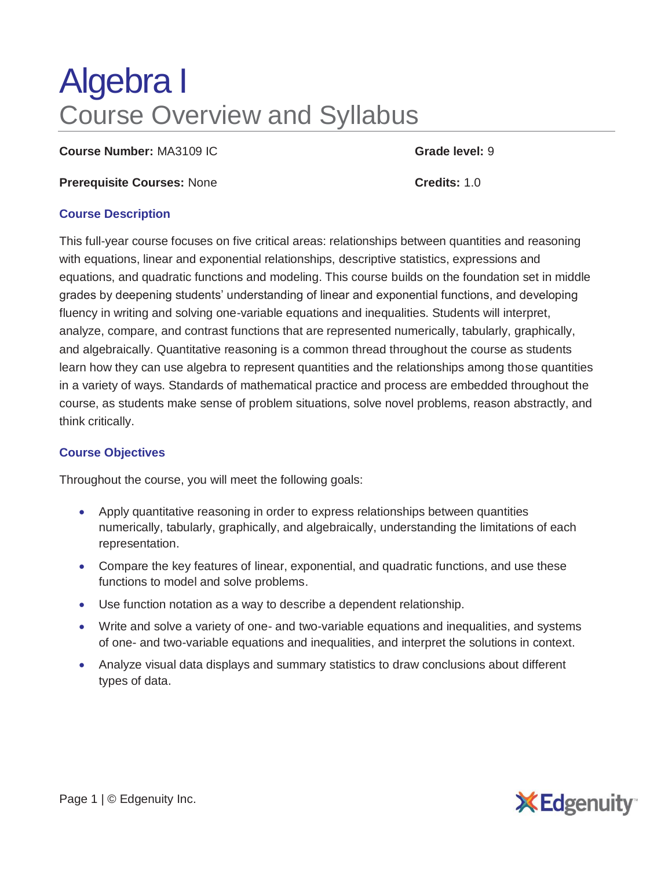# Algebra I Course Overview and Syllabus

**Course Number:** MA3109 IC **Grade level:** 9

**Prerequisite Courses:** None **Credits:** 1.0

#### **Course Description**

This full-year course focuses on five critical areas: relationships between quantities and reasoning with equations, linear and exponential relationships, descriptive statistics, expressions and equations, and quadratic functions and modeling. This course builds on the foundation set in middle grades by deepening students' understanding of linear and exponential functions, and developing fluency in writing and solving one-variable equations and inequalities. Students will interpret, analyze, compare, and contrast functions that are represented numerically, tabularly, graphically, and algebraically. Quantitative reasoning is a common thread throughout the course as students learn how they can use algebra to represent quantities and the relationships among those quantities in a variety of ways. Standards of mathematical practice and process are embedded throughout the course, as students make sense of problem situations, solve novel problems, reason abstractly, and think critically.

## **Course Objectives**

Throughout the course, you will meet the following goals:

- Apply quantitative reasoning in order to express relationships between quantities numerically, tabularly, graphically, and algebraically, understanding the limitations of each representation.
- Compare the key features of linear, exponential, and quadratic functions, and use these functions to model and solve problems.
- Use function notation as a way to describe a dependent relationship.
- Write and solve a variety of one- and two-variable equations and inequalities, and systems of one- and two-variable equations and inequalities, and interpret the solutions in context.
- Analyze visual data displays and summary statistics to draw conclusions about different types of data.